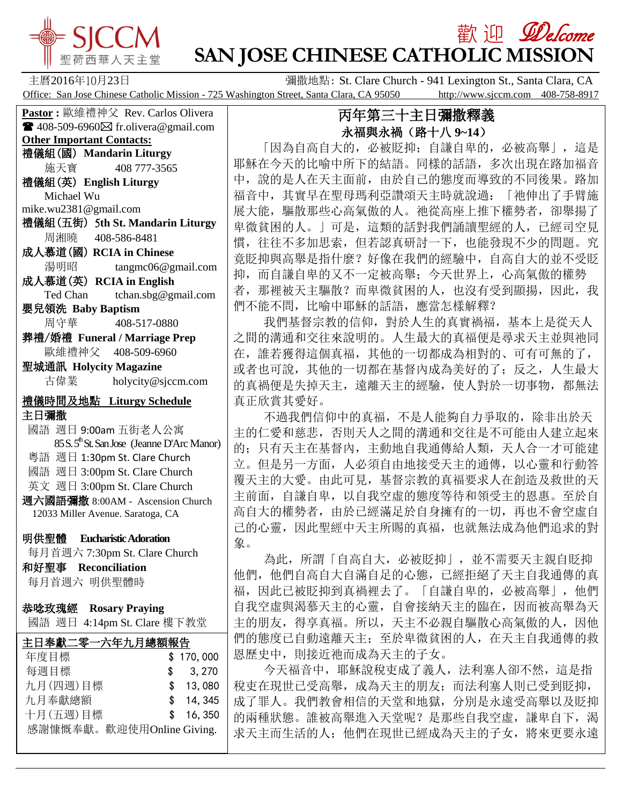

# **歡迎** *Welcome* **SAN JOSE CHINESE CATHOLIC MISSION**

主曆2016年10月23日 彌撒地點: St. Clare Church - 941 Lexington St., Santa Clara, CA Office: San Jose Chinese Catholic Mission - 725 Washington Street, Santa Clara, CA 95050 http://www.sjccm.com 408-758-8917

**Pastor :** 歐維禮神父 Rev. Carlos Olivera  $\blacksquare$  408-509-6960 $\boxtimes$  fr.olivera@gmail.com **Other Important Contacts:** 禮儀組(國) **Mandarin Liturgy** 施天寶 408 777-3565 禮儀組(英) **English Liturgy** Michael Wu mike.wu2381@gmail.com 禮儀組(五街) 5**th St. Mandarin Liturgy** 周湘曉 408-586-8481 成人慕道(國) **RCIA in Chinese** 湯明昭 tangmc06@gmail.com 成人慕道(英) **RCIA in English** Ted Chan tchan.sbg@gmail.com 嬰兒領洗 **Baby Baptism** 周守華 408-517-0880 葬禮/婚禮 **Funeral / Marriage Prep** 歐維禮神父 408-509-6960 聖城通訊 **Holycity Magazine** 古偉業 [holycity@sjccm.com](mailto:holycity@sjccm.com) 禮儀時間及地點 **Liturgy Schedule** 主日彌撒 國語 週日 9:00am 五街老人公寓 85 S. 5<sup>th</sup> St. San Jose (Jeanne D'Arc Manor) 粵語 週日 1:30pm St. Clare Church 國語 週日 3:00pm St. Clare Church 英文 週日 3:00pm St. Clare Church 週六國語彌撒 8:00AM - Ascension Church 12033 Miller Avenue. Saratoga, CA 明供聖體 **Eucharistic Adoration** 每月首週六 7:30pm St. Clare Church 和好聖事 **Reconciliation** 每月首週六 明供聖體時 恭唸玫瑰經 **Rosary Praying** 國語 週日 4:14pm St. Clare 樓下教堂i, 主日奉獻二零一六年九月總額報告 年度目標 \$ 170,000 每週目標 \$ 3,270 九月(四週)目標 \$ 13,080 九月奉獻總額 \$ 14,345 十月(五週)目標 \$ 16,350

感謝慷慨奉獻。歡迎使用Online Giving.

## 丙年第三十主日彌撒釋義 永福與永禍(路十八 **9~14**)

 「因為自高自大的,必被貶抑;自謙自卑的,必被高舉」,這是 耶穌在今天的比喻中所下的結語。同樣的話語,多次出現在路加福音 中,說的是人在天主面前,由於自己的態度而導致的不同後果。路加 福音中,其實早在聖母瑪利亞讚頌天主時就說過:「祂伸出了手臂施 展大能,驅散那些心高氣傲的人。祂從高座上推下權勢者,卻舉揚了 卑微貧困的人。」可是,這類的話對我們誦讀聖經的人,已經司空見 慣,往往不多加思索,但若認真研討一下,也能發現不少的問題。究 竟貶抑與高舉是指什麼?好像在我們的經驗中,自高自大的並不受貶 抑,而自謙自卑的又不一定被高舉;今天世界上,心高氣傲的權勢 者, 那裡被天主驅散?而卑微貧困的人, 也沒有受到顯揚, 因此, 我 們不能不問,比喻中耶穌的話語,應當怎樣解釋?

 我們基督宗教的信仰,對於人生的真實禍福,基本上是從天人 之間的溝通和交往來說明的。人生最大的真福便是尋求天主並與祂同 在,誰若獲得這個真福,其他的一切都成為相對的、可有可無的了, 或者也可說,其他的一切都在基督内成為美好的了;反之,人生最大 的真禍便是失掉天主,遠離天主的經驗,使人對於一切事物,都無法 真正欣賞其愛好。

 不過我們信仰中的真福,不是人能夠自力爭取的,除非出於天 主的仁愛和慈悲,否則天人之間的溝通和交往是不可能由人建立起來 的;只有天主在基督內,主動地自我通傳給人類,天人合一才可能建 立。但是另一方面,人必須自由地接受天主的通傳,以心靈和行動答 覆天主的大愛。由此可見,基督宗教的真福要求人在創造及救世的天 主前面,自謙自卑,以自我空虛的態度等待和領受主的恩惠。至於自 高自大的權勢者,由於已經滿足於自身擁有的一切,再也不會空虛自 己的心靈,因此聖經中天主所賜的真福,也就無法成為他們追求的對 象。

 為此,所謂「自高自大,必被貶抑」,並不需要天主親自貶抑 他們,他們自高自大自滿自足的心態,已經拒絕了天主自我通傳的真 福,因此已被貶抑到真禍裡去了。「自謙自卑的,必被高舉」,他們 自我空虛與渴慕天主的心靈,自會接納天主的臨在,因而被高舉為天 主的朋友,得享真福。所以,天主不必親自驅散心高氣傲的人,因他 們的態度已自動遠離天主;至於卑微貧困的人,在天主自我通傳的救 恩歷史中,則接近祂而成為天主的子女。

 今天福音中,耶穌說稅吏成了義人,法利塞人卻不然,這是指 稅吏在現世已受高舉,成為天主的朋友;而法利塞人則已受到貶抑, 成了罪人。我們教會相信的天堂和地獄,分別是永遠受高舉以及貶抑 的兩種狀態。誰被高舉進入天堂呢?是那些自我空虛,謙卑自下,渴 求天主而生活的人;他們在現世已經成為天主的子女,將來更要永遠